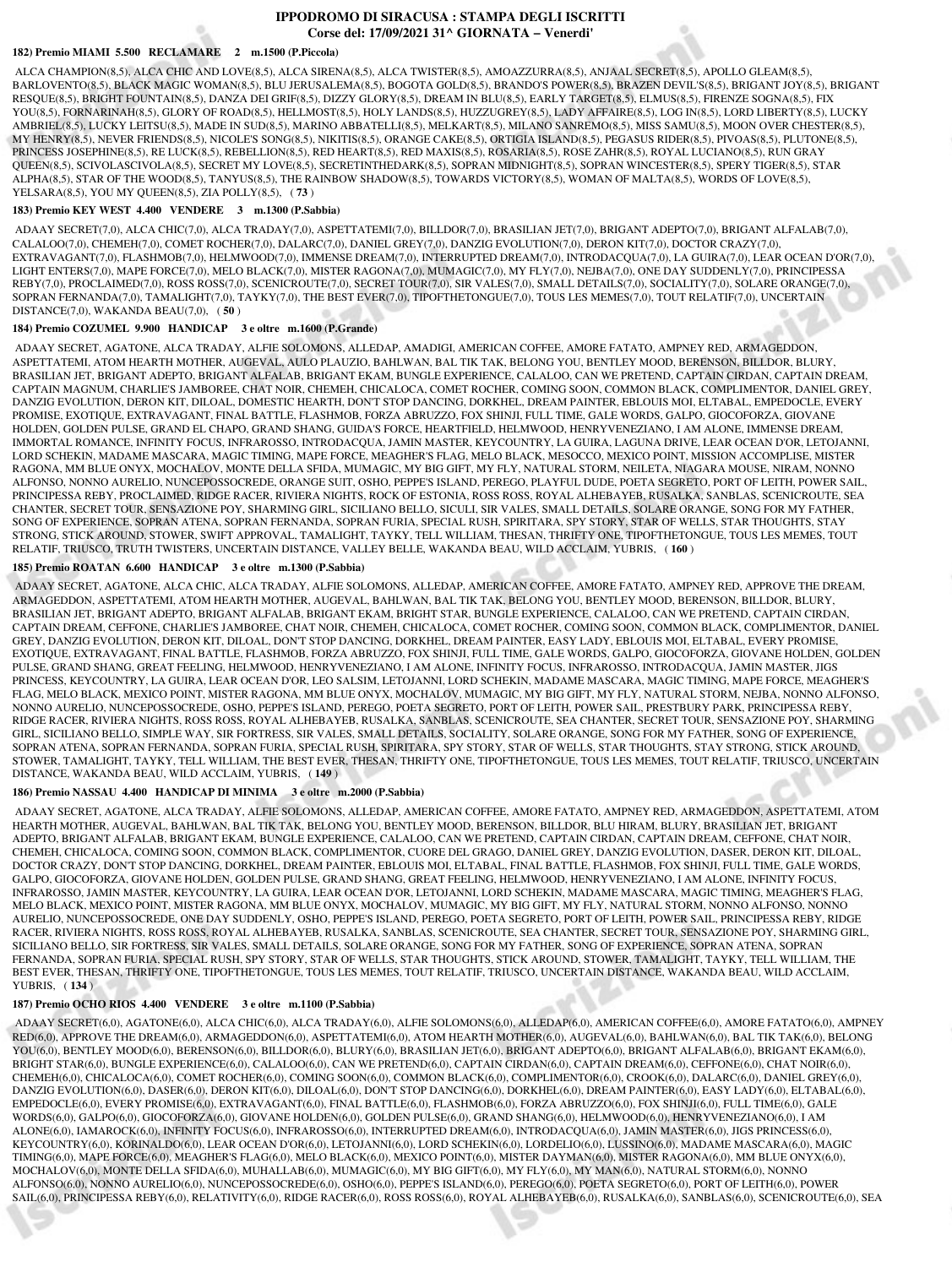# **IPPODROMO DI SIRACUSA : STAMPA DEGLI ISCRITTI Corse del: 17/09/2021 31^ GIORNATA − Venerdi'**

### **182) Premio MIAMI 5.500 RECLAMARE 2 m.1500 (P.Piccola)**

 ALCA CHAMPION(8,5), ALCA CHIC AND LOVE(8,5), ALCA SIRENA(8,5), ALCA TWISTER(8,5), AMOAZZURRA(8,5), ANJAAL SECRET(8,5), APOLLO GLEAM(8,5), BARLOVENTO(8,5), BLACK MAGIC WOMAN(8,5), BLU JERUSALEMA(8,5), BOGOTA GOLD(8,5), BRANDO'S POWER(8,5), BRAZEN DEVIL'S(8,5), BRIGANT JOY(8,5), BRIGANT RESQUE(8,5), BRIGHT FOUNTAIN(8,5), DANZA DEI GRIF(8,5), DIZZY GLORY(8,5), DREAM IN BLU(8,5), EARLY TARGET(8,5), ELMUS(8,5), FIRENZE SOGNA(8,5), FIX YOU(8,5), FORNARINAH(8,5), GLORY OF ROAD(8,5), HELLMOST(8,5), HOLY LANDS(8,5), HUZZUGREY(8,5), LADY AFFAIRE(8,5), LOG IN(8,5), LORD LIBERTY(8,5), LUCKY AMBRIEL(8,5), LUCKY LEITSU(8,5), MADE IN SUD(8,5), MARINO ABBATELLI(8,5), MELKART(8,5), MILANO SANREMO(8,5), MISS SAMU(8,5), MOON OVER CHESTER(8,5), MY HENRY(8,5), NEVER FRIENDS(8,5), NICOLE'S SONG(8,5), NIKITIS(8,5), ORANGE CAKE(8,5), ORTIGIA ISLAND(8,5), PEGASUS RIDER(8,5), PIVOAS(8,5), PLUTONE(8,5), PRINCESS JOSEPHINE(8,5), RE LUCK(8,5), REBELLION(8,5), RED HEART(8,5), RED MAXIS(8,5), ROSARIA(8,5), ROSE ZAHR(8,5), ROYAL LUCIANO(8,5), RUN GRAY QUEEN(8,5), SCIVOLASCIVOLA(8,5), SECRET MY LOVE(8,5), SECRETINTHEDARK(8,5), SOPRAN MIDNIGHT(8,5), SOPRAN WINCESTER(8,5), SPERY TIGER(8,5), STAR ALPHA(8,5), STAR OF THE WOOD(8,5), TANYUS(8,5), THE RAINBOW SHADOW(8,5), TOWARDS VICTORY(8,5), WOMAN OF MALTA(8,5), WORDS OF LOVE(8,5), YELSARA(8,5), YOU MY QUEEN(8,5), ZIA POLLY(8,5), ( **73** )

#### **183) Premio KEY WEST 4.400 VENDERE 3 m.1300 (P.Sabbia)**

 ADAAY SECRET(7,0), ALCA CHIC(7,0), ALCA TRADAY(7,0), ASPETTATEMI(7,0), BILLDOR(7,0), BRASILIAN JET(7,0), BRIGANT ADEPTO(7,0), BRIGANT ALFALAB(7,0), CALALOO(7,0), CHEMEH(7,0), COMET ROCHER(7,0), DALARC(7,0), DANIEL GREY(7,0), DANZIG EVOLUTION(7,0), DERON KIT(7,0), DOCTOR CRAZY(7,0), EXTRAVAGANT(7,0), FLASHMOB(7,0), HELMWOOD(7,0), IMMENSE DREAM(7,0), INTERRUPTED DREAM(7,0), INTRODACQUA(7,0), LA GUIRA(7,0), LEAR OCEAN D'OR(7,0), LIGHT ENTERS(7,0), MAPE FORCE(7,0), MELO BLACK(7,0), MISTER RAGONA(7,0), MUMAGIC(7,0), MY FLY(7,0), NEJBA(7,0), ONE DAY SUDDENLY(7,0), PRINCIPESSA REBY(7,0), PROCLAIMED(7,0), ROSS ROSS(7,0), SCENICROUTE(7,0), SECRET TOUR(7,0), SIR VALES(7,0), SMALL DETAILS(7,0), SOCIALITY(7,0), SOLARE ORANGE(7,0), SOPRAN FERNANDA(7,0), TAMALIGHT(7,0), TAYKY(7,0), THE BEST EVER(7,0), TIPOFTHETONGUE(7,0), TOUS LES MEMES(7,0), TOUT RELATIF(7,0), UNCERTAIN DISTANCE(7,0), WAKANDA BEAU(7,0), ( **50** )

### **184) Premio COZUMEL 9.900 HANDICAP 3 e oltre m.1600 (P.Grande)**

 ADAAY SECRET, AGATONE, ALCA TRADAY, ALFIE SOLOMONS, ALLEDAP, AMADIGI, AMERICAN COFFEE, AMORE FATATO, AMPNEY RED, ARMAGEDDON, ASPETTATEMI, ATOM HEARTH MOTHER, AUGEVAL, AULO PLAUZIO, BAHLWAN, BAL TIK TAK, BELONG YOU, BENTLEY MOOD, BERENSON, BILLDOR, BLURY, BRASILIAN JET, BRIGANT ADEPTO, BRIGANT ALFALAB, BRIGANT EKAM, BUNGLE EXPERIENCE, CALALOO, CAN WE PRETEND, CAPTAIN CIRDAN, CAPTAIN DREAM, CAPTAIN MAGNUM, CHARLIE'S JAMBOREE, CHAT NOIR, CHEMEH, CHICALOCA, COMET ROCHER, COMING SOON, COMMON BLACK, COMPLIMENTOR, DANIEL GREY, DANZIG EVOLUTION, DERON KIT, DILOAL, DOMESTIC HEARTH, DON'T STOP DANCING, DORKHEL, DREAM PAINTER, EBLOUIS MOI, ELTABAL, EMPEDOCLE, EVERY PROMISE, EXOTIQUE, EXTRAVAGANT, FINAL BATTLE, FLASHMOB, FORZA ABRUZZO, FOX SHINJI, FULL TIME, GALE WORDS, GALPO, GIOCOFORZA, GIOVANE HOLDEN, GOLDEN PULSE, GRAND EL CHAPO, GRAND SHANG, GUIDA'S FORCE, HEARTFIELD, HELMWOOD, HENRYVENEZIANO, I AM ALONE, IMMENSE DREAM, IMMORTAL ROMANCE, INFINITY FOCUS, INFRAROSSO, INTRODACQUA, JAMIN MASTER, KEYCOUNTRY, LA GUIRA, LAGUNA DRIVE, LEAR OCEAN D'OR, LETOJANNI, LORD SCHEKIN, MADAME MASCARA, MAGIC TIMING, MAPE FORCE, MEAGHER'S FLAG, MELO BLACK, MESOCCO, MEXICO POINT, MISSION ACCOMPLISE, MISTER RAGONA, MM BLUE ONYX, MOCHALOV, MONTE DELLA SFIDA, MUMAGIC, MY BIG GIFT, MY FLY, NATURAL STORM, NEILETA, NIAGARA MOUSE, NIRAM, NONNO ALFONSO, NONNO AURELIO, NUNCEPOSSOCREDE, ORANGE SUIT, OSHO, PEPPE'S ISLAND, PEREGO, PLAYFUL DUDE, POETA SEGRETO, PORT OF LEITH, POWER SAIL, PRINCIPESSA REBY, PROCLAIMED, RIDGE RACER, RIVIERA NIGHTS, ROCK OF ESTONIA, ROSS ROSS, ROYAL ALHEBAYEB, RUSALKA, SANBLAS, SCENICROUTE, SEA CHANTER, SECRET TOUR, SENSAZIONE POY, SHARMING GIRL, SICILIANO BELLO, SICULI, SIR VALES, SMALL DETAILS, SOLARE ORANGE, SONG FOR MY FATHER, SONG OF EXPERIENCE, SOPRAN ATENA, SOPRAN FERNANDA, SOPRAN FURIA, SPECIAL RUSH, SPIRITARA, SPY STORY, STAR OF WELLS, STAR THOUGHTS, STAY STRONG, STICK AROUND, STOWER, SWIFT APPROVAL, TAMALIGHT, TAYKY, TELL WILLIAM, THESAN, THRIFTY ONE, TIPOFTHETONGUE, TOUS LES MEMES, TOUT RELATIF, TRIUSCO, TRUTH TWISTERS, UNCERTAIN DISTANCE, VALLEY BELLE, WAKANDA BEAU, WILD ACCLAIM, YUBRIS, ( **160** )

# **185) Premio ROATAN 6.600 HANDICAP 3 e oltre m.1300 (P.Sabbia)**

 ADAAY SECRET, AGATONE, ALCA CHIC, ALCA TRADAY, ALFIE SOLOMONS, ALLEDAP, AMERICAN COFFEE, AMORE FATATO, AMPNEY RED, APPROVE THE DREAM, ARMAGEDDON, ASPETTATEMI, ATOM HEARTH MOTHER, AUGEVAL, BAHLWAN, BAL TIK TAK, BELONG YOU, BENTLEY MOOD, BERENSON, BILLDOR, BLURY, BRASILIAN JET, BRIGANT ADEPTO, BRIGANT ALFALAB, BRIGANT EKAM, BRIGHT STAR, BUNGLE EXPERIENCE, CALALOO, CAN WE PRETEND, CAPTAIN CIRDAN, CAPTAIN DREAM, CEFFONE, CHARLIE'S JAMBOREE, CHAT NOIR, CHEMEH, CHICALOCA, COMET ROCHER, COMING SOON, COMMON BLACK, COMPLIMENTOR, DANIEL GREY, DANZIG EVOLUTION, DERON KIT, DILOAL, DON'T STOP DANCING, DORKHEL, DREAM PAINTER, EASY LADY, EBLOUIS MOI, ELTABAL, EVERY PROMISE, EXOTIQUE, EXTRAVAGANT, FINAL BATTLE, FLASHMOB, FORZA ABRUZZO, FOX SHINJI, FULL TIME, GALE WORDS, GALPO, GIOCOFORZA, GIOVANE HOLDEN, GOLDEN PULSE, GRAND SHANG, GREAT FEELING, HELMWOOD, HENRYVENEZIANO, I AM ALONE, INFINITY FOCUS, INFRAROSSO, INTRODACQUA, JAMIN MASTER, JIGS PRINCESS, KEYCOUNTRY, LA GUIRA, LEAR OCEAN D'OR, LEO SALSIM, LETOJANNI, LORD SCHEKIN, MADAME MASCARA, MAGIC TIMING, MAPE FORCE, MEAGHER'S FLAG, MELO BLACK, MEXICO POINT, MISTER RAGONA, MM BLUE ONYX, MOCHALOV, MUMAGIC, MY BIG GIFT, MY FLY, NATURAL STORM, NEJBA, NONNO ALFONSO, NONNO AURELIO, NUNCEPOSSOCREDE, OSHO, PEPPE'S ISLAND, PEREGO, POETA SEGRETO, PORT OF LEITH, POWER SAIL, PRESTBURY PARK, PRINCIPESSA REBY, RIDGE RACER, RIVIERA NIGHTS, ROSS ROSS, ROYAL ALHEBAYEB, RUSALKA, SANBLAS, SCENICROUTE, SEA CHANTER, SECRET TOUR, SENSAZIONE POY, SHARMING GIRL, SICILIANO BELLO, SIMPLE WAY, SIR FORTRESS, SIR VALES, SMALL DETAILS, SOCIALITY, SOLARE ORANGE, SONG FOR MY FATHER, SONG OF EXPERIENCE, SOPRAN ATENA, SOPRAN FERNANDA, SOPRAN FURIA, SPECIAL RUSH, SPIRITARA, SPY STORY, STAR OF WELLS, STAR THOUGHTS, STAY STRONG, STICK AROUND, STOWER, TAMALIGHT, TAYKY, TELL WILLIAM, THE BEST EVER, THESAN, THRIFTY ONE, TIPOFTHETONGUE, TOUS LES MEMES, TOUT RELATIF, TRIUSCO, UNCERTAIN DISTANCE, WAKANDA BEAU, WILD ACCLAIM, YUBRIS, ( **149** )

### **186) Premio NASSAU 4.400 HANDICAP DI MINIMA 3 e oltre m.2000 (P.Sabbia)**

 ADAAY SECRET, AGATONE, ALCA TRADAY, ALFIE SOLOMONS, ALLEDAP, AMERICAN COFFEE, AMORE FATATO, AMPNEY RED, ARMAGEDDON, ASPETTATEMI, ATOM HEARTH MOTHER, AUGEVAL, BAHLWAN, BAL TIK TAK, BELONG YOU, BENTLEY MOOD, BERENSON, BILLDOR, BLU HIRAM, BLURY, BRASILIAN JET, BRIGANT ADEPTO, BRIGANT ALFALAB, BRIGANT EKAM, BUNGLE EXPERIENCE, CALALOO, CAN WE PRETEND, CAPTAIN CIRDAN, CAPTAIN DREAM, CEFFONE, CHAT NOIR, CHEMEH, CHICALOCA, COMING SOON, COMMON BLACK, COMPLIMENTOR, CUORE DEL GRAGO, DANIEL GREY, DANZIG EVOLUTION, DASER, DERON KIT, DILOAL, DOCTOR CRAZY, DON'T STOP DANCING, DORKHEL, DREAM PAINTER, EBLOUIS MOI, ELTABAL, FINAL BATTLE, FLASHMOB, FOX SHINJI, FULL TIME, GALE WORDS, GALPO, GIOCOFORZA, GIOVANE HOLDEN, GOLDEN PULSE, GRAND SHANG, GREAT FEELING, HELMWOOD, HENRYVENEZIANO, I AM ALONE, INFINITY FOCUS, INFRAROSSO, JAMIN MASTER, KEYCOUNTRY, LA GUIRA, LEAR OCEAN D'OR, LETOJANNI, LORD SCHEKIN, MADAME MASCARA, MAGIC TIMING, MEAGHER'S FLAG, MELO BLACK, MEXICO POINT, MISTER RAGONA, MM BLUE ONYX, MOCHALOV, MUMAGIC, MY BIG GIFT, MY FLY, NATURAL STORM, NONNO ALFONSO, NONNO AURELIO, NUNCEPOSSOCREDE, ONE DAY SUDDENLY, OSHO, PEPPE'S ISLAND, PEREGO, POETA SEGRETO, PORT OF LEITH, POWER SAIL, PRINCIPESSA REBY, RIDGE RACER, RIVIERA NIGHTS, ROSS ROSS, ROYAL ALHEBAYEB, RUSALKA, SANBLAS, SCENICROUTE, SEA CHANTER, SECRET TOUR, SENSAZIONE POY, SHARMING GIRL, SICILIANO BELLO, SIR FORTRESS, SIR VALES, SMALL DETAILS, SOLARE ORANGE, SONG FOR MY FATHER, SONG OF EXPERIENCE, SOPRAN ATENA, SOPRAN FERNANDA, SOPRAN FURIA, SPECIAL RUSH, SPY STORY, STAR OF WELLS, STAR THOUGHTS, STICK AROUND, STOWER, TAMALIGHT, TAYKY, TELL WILLIAM, THE BEST EVER, THESAN, THRIFTY ONE, TIPOFTHETONGUE, TOUS LES MEMES, TOUT RELATIF, TRIUSCO, UNCERTAIN DISTANCE, WAKANDA BEAU, WILD ACCLAIM, YUBRIS, ( **134** )

## **187) Premio OCHO RIOS 4.400 VENDERE 3 e oltre m.1100 (P.Sabbia)**

 ADAAY SECRET(6,0), AGATONE(6,0), ALCA CHIC(6,0), ALCA TRADAY(6,0), ALFIE SOLOMONS(6,0), ALLEDAP(6,0), AMERICAN COFFEE(6,0), AMORE FATATO(6,0), AMPNEY RED(6,0), APPROVE THE DREAM(6,0), ARMAGEDDON(6,0), ASPETTATEMI(6,0), ATOM HEARTH MOTHER(6,0), AUGEVAL(6,0), BAHLWAN(6,0), BAL TIK TAK(6,0), BELONG YOU(6,0), BENTLEY MOOD(6,0), BERENSON(6,0), BILLDOR(6,0), BLURY(6,0), BRASILIAN JET(6,0), BRIGANT ADEPTO(6,0), BRIGANT ALFALAB(6,0), BRIGANT EKAM(6,0), BRIGHT STAR(6,0), BUNGLE EXPERIENCE(6,0), CALALOO(6,0), CAN WE PRETEND(6,0), CAPTAIN CIRDAN(6,0), CAPTAIN DREAM(6,0), CEFFONE(6,0), CHAT NOIR(6,0), CHEMEH(6,0), CHICALOCA(6,0), COMET ROCHER(6,0), COMING SOON(6,0), COMMON BLACK(6,0), COMPLIMENTOR(6,0), CROOK(6,0), DALARC(6,0), DANIEL GREY(6,0), DANZIG EVOLUTION(6,0), DASER(6,0), DERON KIT(6,0), DILOAL(6,0), DON'T STOP DANCING(6,0), DORKHEL(6,0), DREAM PAINTER(6,0), EASY LADY(6,0), ELTABAL(6,0), EMPEDOCLE(6,0), EVERY PROMISE(6,0), EXTRAVAGANT(6,0), FINAL BATTLE(6,0), FLASHMOB(6,0), FORZA ABRUZZO(6,0), FOX SHINJI(6,0), FULL TIME(6,0), GALE WORDS(6,0), GALPO(6,0), GIOCOFORZA(6,0), GIOVANE HOLDEN(6,0), GOLDEN PULSE(6,0), GRAND SHANG(6,0), HELMWOOD(6,0), HENRYVENEZIANO(6,0), I AM ALONE(6,0), IAMAROCK(6,0), INFINITY FOCUS(6,0), INFRAROSSO(6,0), INTERRUPTED DREAM(6,0), INTRODACQUA(6,0), JAMIN MASTER(6,0), JIGS PRINCESS(6,0), KEYCOUNTRY(6,0), KORINALDO(6,0), LEAR OCEAN D'OR(6,0), LETOJANNI(6,0), LORD SCHEKIN(6,0), LORDELIO(6,0), LUSSINO(6,0), MADAME MASCARA(6,0), MAGIC TIMING(6,0), MAPE FORCE(6,0), MEAGHER'S FLAG(6,0), MELO BLACK(6,0), MEXICO POINT(6,0), MISTER DAYMAN(6,0), MISTER RAGONA(6,0), MM BLUE ONYX(6,0), MOCHALOV(6,0), MONTE DELLA SFIDA(6,0), MUHALLAB(6,0), MUMAGIC(6,0), MY BIG GIFT(6,0), MY FLY(6,0), MY MAN(6,0), NATURAL STORM(6,0), NONNO ALFONSO(6,0), NONNO AURELIO(6,0), NUNCEPOSSOCREDE(6,0), OSHO(6,0), PEPPE'S ISLAND(6,0), PEREGO(6,0), POETA SEGRETO(6,0), PORT OF LEITH(6,0), POWER SAIL(6,0), PRINCIPESSA REBY(6,0), RELATIVITY(6,0), RIDGE RACER(6,0), ROSS ROSS(6,0), ROYAL ALHEBAYEB(6,0), RUSALKA(6,0), SANBLAS(6,0), SCENICROUTE(6,0), SEA